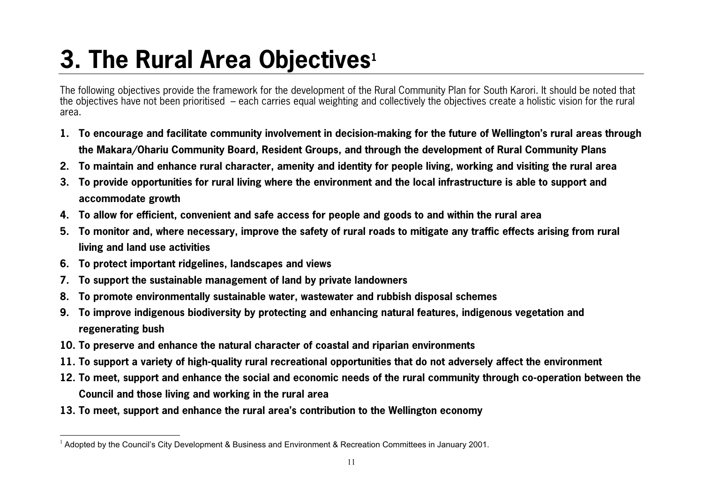## **3. The Rural Area Objectives1**

The following objectives provide the framework for the development of the Rural Community Plan for South Karori. It should be noted that the objectives have not been prioritised – each carries equal weighting and collectively the objectives create a holistic vision for the rural area.

- **1. To encourage and facilitate community involvement in decision-making for the future of Wellington's rural areas through the Makara/Ohariu Community Board, Resident Groups, and through the development of Rural Community Plans**
- **2. To maintain and enhance rural character, amenity and identity for people living, working and visiting the rural area**
- **3. To provide opportunities for rural living where the environment and the local infrastructure is able to support and accommodate growth**
- **4. To allow for efficient, convenient and safe access for people and goods to and within the rural area**
- **5. To monitor and, where necessary, improve the safety of rural roads to mitigate any traffic effects arising from rural living and land use activities**
- **6. To protect important ridgelines, landscapes and views**
- **7.To support the sustainable management of land by private landowners**
- **8.To promote environmentally sustainable water, wastewater and rubbish disposal schemes**
- **9. To improve indigenous biodiversity by protecting and enhancing natural features, indigenous vegetation and regenerating bush**
- **10. To preserve and enhance the natural character of coastal and riparian environments**
- **11. To support a variety of high-quality rural recreational opportunities that do not adversely affect the environment**
- **12. To meet, support and enhance the social and economic needs of the rural community through co-operation between the Council and those living and working in the rural area**
- **13. To meet, support and enhance the rural area's contribution to the Wellington economy**

 $1$  Adopted by the Council's City Development & Business and Environment & Recreation Committees in January 2001.